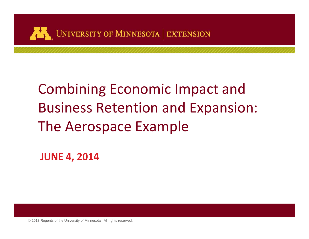

## Combining Economic Impact and Business Retention and Expansion: The Aerospace Example

**JUNE 4, 2014**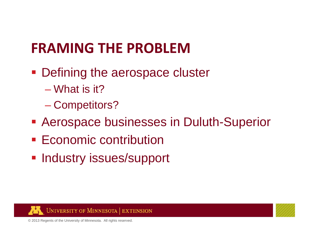### **FRAMING THE PROBLEM**

- **Defining the aerospace cluster** 
	- What is it?
	- Competitors?
- **Aerospace businesses in Duluth-Superior**
- **Economic contribution**
- **Industry issues/support**



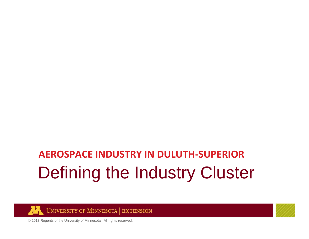## Defining the Industry Cluster **AEROSPACE INDUSTRY IN DULUTH‐SUPERIOR**



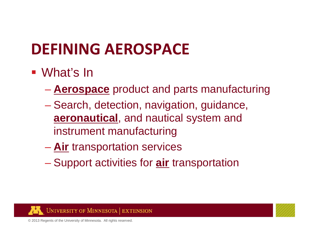## **DEFINING AEROSPACE**

### ■ What's In

- **Aerospace** product and parts manufacturing
- Search, detection, navigation, guidance, **aeronautical**, and nautical system and instrument manufacturing
- **Air** transportation services
- Support activities for **air** transportation



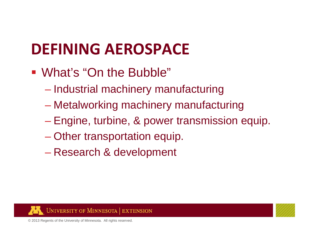## **DEFINING AEROSPACE**

- What's "On the Bubble"
	- Industrial machinery manufacturing
	- Metalworking machinery manufacturing
	- Engine, turbine, & power transmission equip.
	- Other transportation equip.
	- Research & development



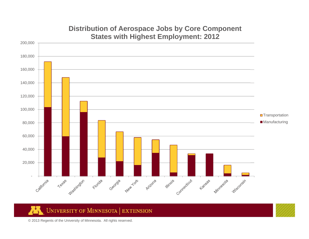

#### **Distribution of Aerospace Jobs by Core Component States with Highest Employment: 2012**

#### ÆŊ **UNIVERSITY OF MINNESOTA | EXTENSION**

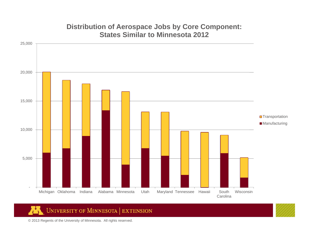### - 5,000 10,000 15,000 20,000 25,000 Michigan Oklahoma Indiana Alabama Minnesota Utah Maryland Tennessee Hawaii South **Carolina** Wisconsin**□**Transportation **Manufacturing**

#### **Distribution of Aerospace Jobs by Core Component: States Similar to Minnesota 2012**

UNIVERSITY OF MINNESOTA | EXTENSION

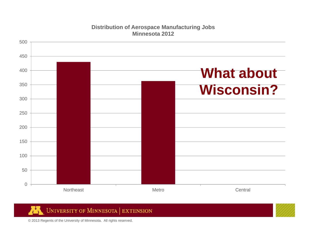

#### **Distribution of Aerospace Manufacturing Jobs Minnesota 2012**

**UNIVERSITY OF MINNESOTA | EXTENSION** Ж

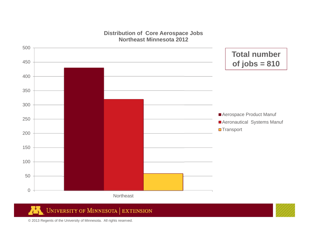#### **Distribution of Core Aerospace Jobs Northeast Minnesota 2012**



#### **UNIVERSITY OF MINNESOTA | EXTENSION** Ж

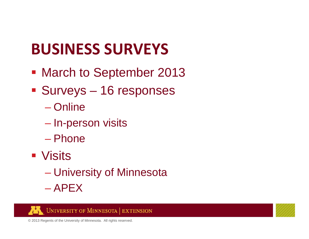## **BUSINESS SURVEYS**

- **March to September 2013**
- Surveys 16 responses
	- Online
	- $\mathcal{L}_{\mathcal{A}}$ – In-person visits
	- Phone
- **Visits** 
	- University of Minnesota
	- APEX



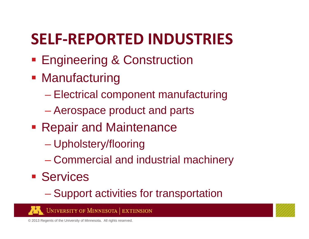## **SELF‐REPORTED INDUSTRIES**

- **Engineering & Construction**
- **Manufacturing** 
	- Electrical component manufacturing
	- Aerospace product and parts
- **Repair and Maintenance** 
	- Upholstery/flooring
	- $\mathcal{L}_{\mathcal{A}}$ Commercial and industrial machinery
- **Services** 
	- Support activities for transportation



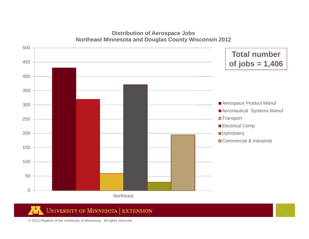#### **Distribution of Aerospace Jobs Northeast Minnesota and Douglas County Wisconsin 2012**



#### **UNIVERSITY OF MINNESOTA EXTENSION** Ж

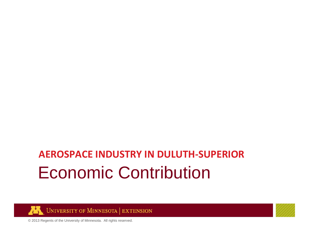## Economic Contribution **AEROSPACE INDUSTRY IN DULUTH‐SUPERIOR**



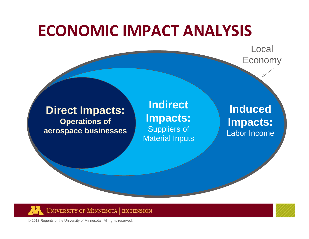### **ECONOMIC IMPACT ANALYSIS**

Local Economy

#### **Direct Impacts: Operations of aerospace businesses**

**Indirect Impacts:** Suppliers of Material Inputs

#### **Induced Impacts:** Labor Income

**UNIVERSITY OF MINNESOTA EXTENSION** 

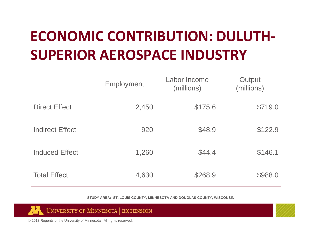## **ECONOMIC CONTRIBUTION: DULUTH‐ SUPERIOR AEROSPACE INDUSTRY**

|                        | <b>Employment</b> | Labor Income<br>(millions) | Output<br>(millions) |
|------------------------|-------------------|----------------------------|----------------------|
| <b>Direct Effect</b>   | 2,450             | \$175.6                    | \$719.0              |
| <b>Indirect Effect</b> | 920               | \$48.9                     | \$122.9              |
| <b>Induced Effect</b>  | 1,260             | \$44.4                     | \$146.1              |
| <b>Total Effect</b>    | 4,630             | \$268.9                    | \$988.0              |

**STUDY AREA: ST. LOUIS COUNTY, MINNESOTA AND DOUGLAS COUNTY, WISCONSIN**



**UNIVERSITY OF MINNESOTA | EXTENSION**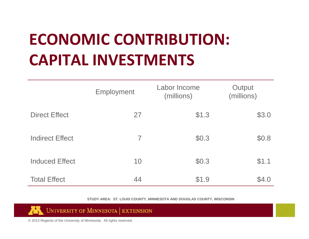## **ECONOMIC CONTRIBUTION: CAPITAL INVESTMENTS**

|                        | Employment     | Labor Income<br>(millions) | Output<br>(millions) |
|------------------------|----------------|----------------------------|----------------------|
| <b>Direct Effect</b>   | 27             | \$1.3                      | \$3.0                |
| <b>Indirect Effect</b> | $\overline{ }$ | \$0.3                      | \$0.8                |
| <b>Induced Effect</b>  | 10             | \$0.3                      | \$1.1                |
| <b>Total Effect</b>    | 44             | \$1.9                      | \$4.0                |

**STUDY AREA: ST. LOUIS COUNTY, MINNESOTA AND DOUGLAS COUNTY, WISCONSIN**



© 2013 Regents of the University of Minnesota. All rights reserved.

W

UNIVERSITY OF MINNESOTA | EXTENSION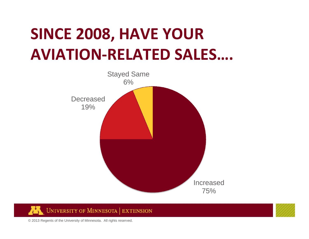## **SINCE 2008, HAVE YOUR AVIATION‐RELATED SALES….**



**UNIVERSITY OF MINNESOTA EXTENSION** W

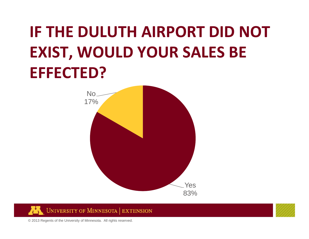## **IF THE DULUTH AIRPORT DID NOT EXIST, WOULD YOUR SALES BE EFFECTED?**





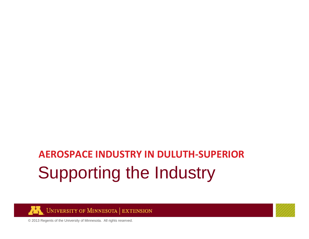## Supporting the Industry **AEROSPACE INDUSTRY IN DULUTH‐SUPERIOR**



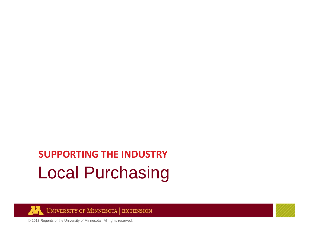## Local Purchasing **SUPPORTING THE INDUSTRY**



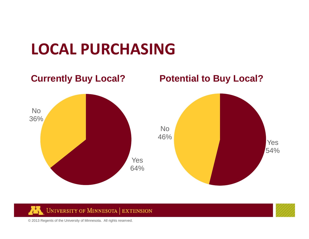## **LOCAL PURCHASING**





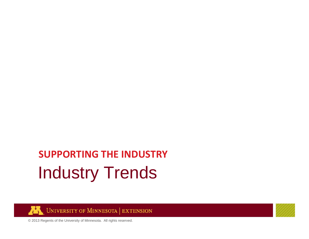## Industry Trends **SUPPORTING THE INDUSTRY**



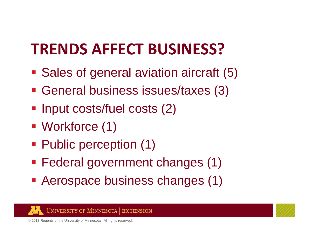## **TRENDS AFFECT BUSINESS?**

- **Sales of general aviation aircraft (5)**
- General business issues/taxes (3)
- **Input costs/fuel costs (2)**
- Workforce (1)
- Public perception (1)
- Federal government changes (1)
- Aerospace business changes (1)



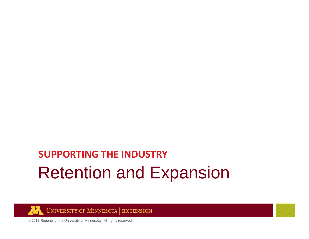## Retention and Expansion **SUPPORTING THE INDUSTRY**



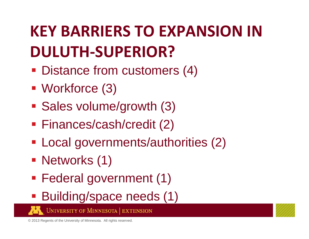## **KEY BARRIERS TO EXPANSION IN DULUTH‐SUPERIOR?**

- **Distance from customers (4)**
- Workforce (3)
- **Sales volume/growth (3)**
- Finances/cash/credit (2)
- Local governments/authorities (2)
- Networks (1)
- Federal government (1)
- Building/space needs (1)

**UNIVERSITY OF MINNESOTA | EXTENSION** 

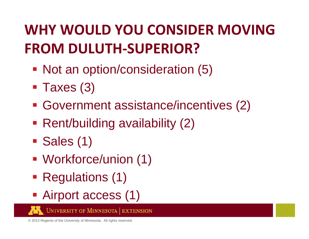## **WHY WOULD YOU CONSIDER MOVING FROM DULUTH‐SUPERIOR?**

- Not an option/consideration (5)
- Taxes (3)
- Government assistance/incentives (2)
- Rent/building availability (2)
- Sales (1)
- Workforce/union (1)
- **Regulations (1)**
- Airport access (1)

**UNIVERSITY OF MINNESOTA | EXTENSION** 

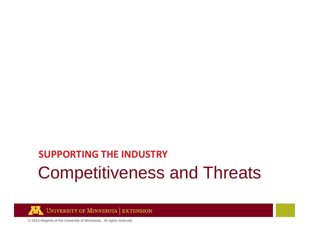### Competitiveness and Threats **SUPPORTING THE INDUSTRY**



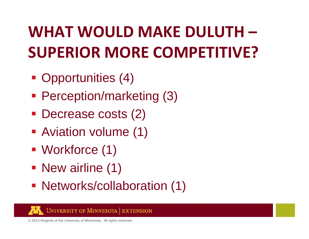## **WHAT WOULD MAKE DULUTH – SUPERIOR MORE COMPETITIVE?**

- Opportunities (4)
- Perception/marketing (3)
- Decrease costs (2)
- **Aviation volume (1)**
- Workforce (1)
- New airline (1)
- Networks/collaboration (1)



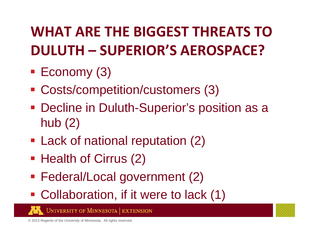## **WHAT ARE THE BIGGEST THREATS TODULUTH – SUPERIOR'S AEROSPACE?**

- **Economy (3)**
- Costs/competition/customers (3)
- **Decline in Duluth-Superior's position as a** hub (2)
- **Lack of national reputation (2)**
- Health of Cirrus (2)
- Federal/Local government (2)
- **Collaboration, if it were to lack (1)**

**UNIVERSITY OF MINNESOTA EXTENSION** 

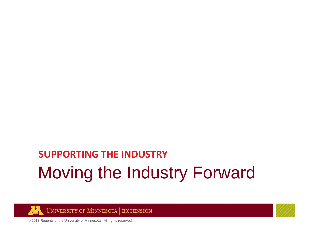## Moving the Industry Forward **SUPPORTING THE INDUSTRY**



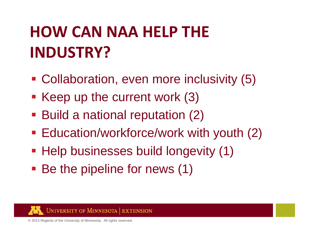# **HOW CAN NAA HELP THE INDUSTRY?**

- Collaboration, even more inclusivity (5)
- Keep up the current work (3)
- **Build a national reputation (2)**
- **Education/workforce/work with youth (2)**
- **Help businesses build longevity (1)**
- Be the pipeline for news (1)



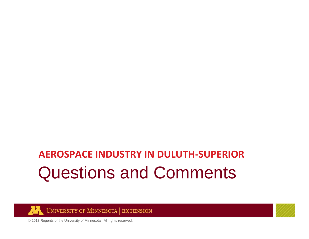### Questions and Comments **AEROSPACE INDUSTRY IN DULUTH‐SUPERIOR**



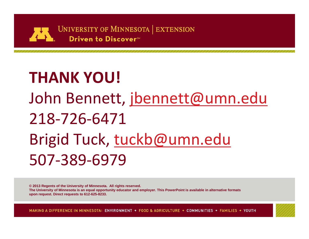

# **THANK YOU!** John Bennett, <u>jbennett@umn.edu</u> 218‐726‐6471Brigid Tuck, tuckb@umn.edu 507‐389‐6979

**© 2013 Regents of the University of Minnesota. All rights reserved.**

**The University of Minnesota is an equal opportunity educator and employer. This PowerPoint is available in alternative formats upon request. Direct requests to 612-625-8233.**

MAKING A DIFFERENCE IN MINNESOTA: ENVIRONMENT + FOOD & AGRICULTURE + COMMUNITIES + FAMILIES + YOUTH

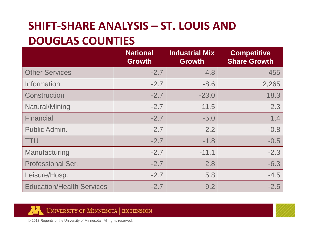### **SHIFT‐SHARE ANALYSIS – ST. LOUIS AND DOUGLAS COUNTIES**

|                                  | <b>National</b><br><b>Growth</b> | <b>Industrial Mix</b><br><b>Growth</b> | <b>Competitive</b><br><b>Share Growth</b> |
|----------------------------------|----------------------------------|----------------------------------------|-------------------------------------------|
| <b>Other Services</b>            | $-2.7$                           | 4.8                                    | 455                                       |
| Information                      | $-2.7$                           | $-8.6$                                 | 2,265                                     |
| Construction                     | $-2.7$                           | $-23.0$                                | 18.3                                      |
| Natural/Mining                   | $-2.7$                           | 11.5                                   | 2.3                                       |
| <b>Financial</b>                 | $-2.7$                           | $-5.0$                                 | 1.4                                       |
| Public Admin.                    | $-2.7$                           | 2.2                                    | $-0.8$                                    |
| <b>TTU</b>                       | $-2.7$                           | $-1.8$                                 | $-0.5$                                    |
| Manufacturing                    | $-2.7$                           | $-11.1$                                | $-2.3$                                    |
| <b>Professional Ser.</b>         | $-2.7$                           | 2.8                                    | $-6.3$                                    |
| Leisure/Hosp.                    | $-2.7$                           | 5.8                                    | $-4.5$                                    |
| <b>Education/Health Services</b> | $-2.7$                           | 9.2                                    | $-2.5$                                    |



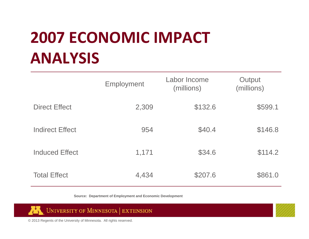## **2007 ECONOMIC IMPACT ANALYSIS**

|                        | Employment | Labor Income<br>(millions) | Output<br>(millions) |
|------------------------|------------|----------------------------|----------------------|
| <b>Direct Effect</b>   | 2,309      | \$132.6                    | \$599.1              |
| <b>Indirect Effect</b> | 954        | \$40.4                     | \$146.8              |
| <b>Induced Effect</b>  | 1,171      | \$34.6                     | \$114.2              |
| <b>Total Effect</b>    | 4,434      | \$207.6                    | \$861.0              |

**Source: Department of Employment and Economic Development**



UNIVERSITY OF MINNESOTA | EXTENSION ÆÑ